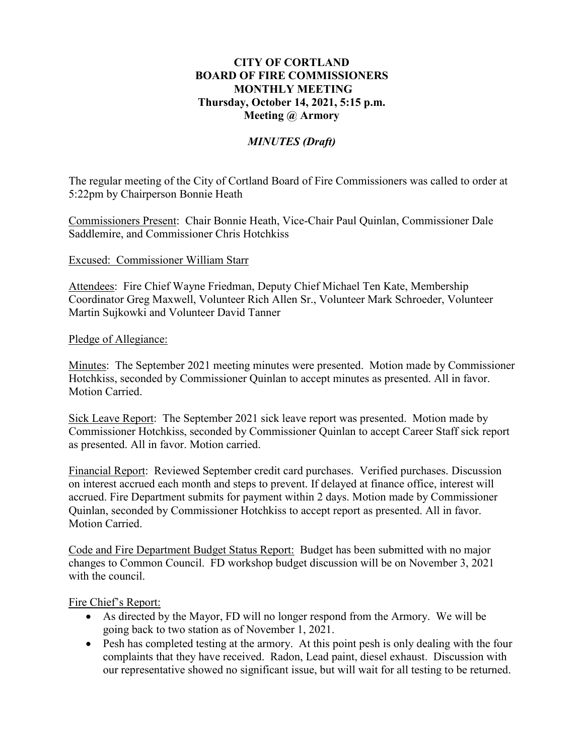## **CITY OF CORTLAND BOARD OF FIRE COMMISSIONERS MONTHLY MEETING Thursday, October 14, 2021, 5:15 p.m. Meeting @ Armory**

# *MINUTES (Draft)*

The regular meeting of the City of Cortland Board of Fire Commissioners was called to order at 5:22pm by Chairperson Bonnie Heath

Commissioners Present: Chair Bonnie Heath, Vice-Chair Paul Quinlan, Commissioner Dale Saddlemire, and Commissioner Chris Hotchkiss

#### Excused: Commissioner William Starr

Attendees: Fire Chief Wayne Friedman, Deputy Chief Michael Ten Kate, Membership Coordinator Greg Maxwell, Volunteer Rich Allen Sr., Volunteer Mark Schroeder, Volunteer Martin Sujkowki and Volunteer David Tanner

#### Pledge of Allegiance:

Minutes: The September 2021 meeting minutes were presented. Motion made by Commissioner Hotchkiss, seconded by Commissioner Quinlan to accept minutes as presented. All in favor. Motion Carried.

Sick Leave Report: The September 2021 sick leave report was presented. Motion made by Commissioner Hotchkiss, seconded by Commissioner Quinlan to accept Career Staff sick report as presented. All in favor. Motion carried.

Financial Report: Reviewed September credit card purchases. Verified purchases. Discussion on interest accrued each month and steps to prevent. If delayed at finance office, interest will accrued. Fire Department submits for payment within 2 days. Motion made by Commissioner Quinlan, seconded by Commissioner Hotchkiss to accept report as presented. All in favor. Motion Carried.

Code and Fire Department Budget Status Report: Budget has been submitted with no major changes to Common Council. FD workshop budget discussion will be on November 3, 2021 with the council.

### Fire Chief's Report:

- As directed by the Mayor, FD will no longer respond from the Armory. We will be going back to two station as of November 1, 2021.
- Pesh has completed testing at the armory. At this point pesh is only dealing with the four complaints that they have received. Radon, Lead paint, diesel exhaust. Discussion with our representative showed no significant issue, but will wait for all testing to be returned.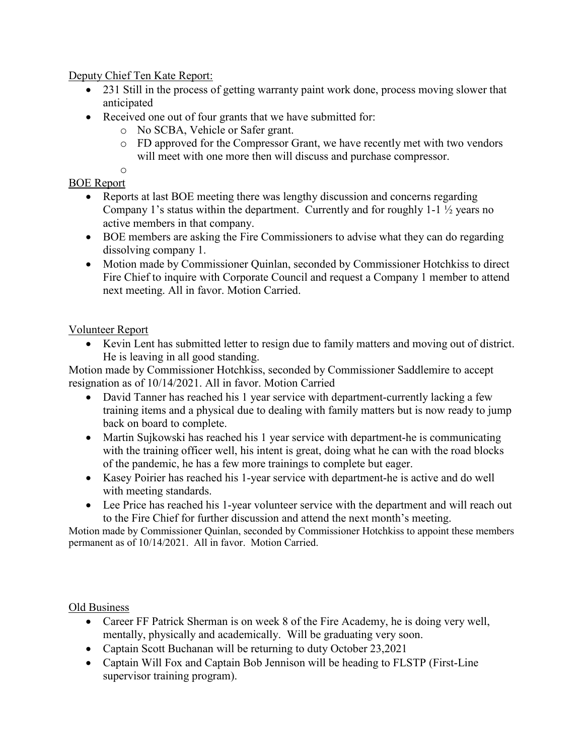Deputy Chief Ten Kate Report:

- 231 Still in the process of getting warranty paint work done, process moving slower that anticipated
- Received one out of four grants that we have submitted for:
	- o No SCBA, Vehicle or Safer grant.
	- o FD approved for the Compressor Grant, we have recently met with two vendors will meet with one more then will discuss and purchase compressor.

#### o BOE Report

- Reports at last BOE meeting there was lengthy discussion and concerns regarding Company 1's status within the department. Currently and for roughly 1-1 ½ years no active members in that company.
- BOE members are asking the Fire Commissioners to advise what they can do regarding dissolving company 1.
- Motion made by Commissioner Quinlan, seconded by Commissioner Hotchkiss to direct Fire Chief to inquire with Corporate Council and request a Company 1 member to attend next meeting. All in favor. Motion Carried.

# Volunteer Report

• Kevin Lent has submitted letter to resign due to family matters and moving out of district. He is leaving in all good standing.

Motion made by Commissioner Hotchkiss, seconded by Commissioner Saddlemire to accept resignation as of 10/14/2021. All in favor. Motion Carried

- David Tanner has reached his 1 year service with department-currently lacking a few training items and a physical due to dealing with family matters but is now ready to jump back on board to complete.
- Martin Sujkowski has reached his 1 year service with department-he is communicating with the training officer well, his intent is great, doing what he can with the road blocks of the pandemic, he has a few more trainings to complete but eager.
- Kasey Poirier has reached his 1-year service with department-he is active and do well with meeting standards.
- Lee Price has reached his 1-year volunteer service with the department and will reach out to the Fire Chief for further discussion and attend the next month's meeting.

Motion made by Commissioner Quinlan, seconded by Commissioner Hotchkiss to appoint these members permanent as of 10/14/2021. All in favor. Motion Carried.

## Old Business

- Career FF Patrick Sherman is on week 8 of the Fire Academy, he is doing very well, mentally, physically and academically. Will be graduating very soon.
- Captain Scott Buchanan will be returning to duty October 23,2021
- Captain Will Fox and Captain Bob Jennison will be heading to FLSTP (First-Line) supervisor training program).